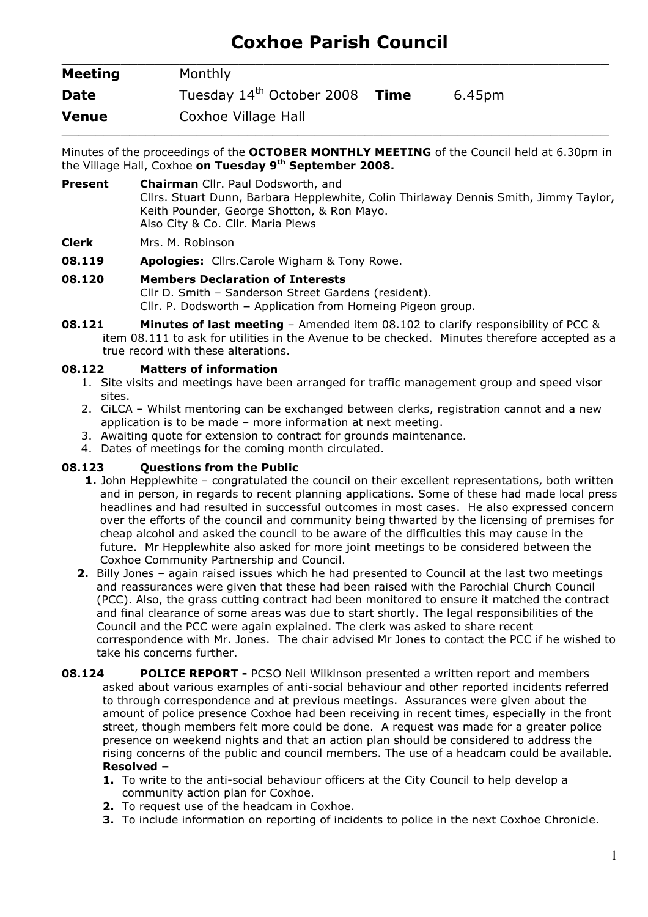# Coxhoe Parish Council \_\_\_\_\_\_\_\_\_\_\_\_\_\_\_\_\_\_\_\_\_\_\_\_\_\_\_\_\_\_\_\_\_\_\_\_\_\_\_\_\_\_\_\_\_\_\_\_\_\_\_\_\_\_\_\_\_\_\_\_\_\_\_\_\_

| <b>Meeting</b> | Monthly                               |             |        |
|----------------|---------------------------------------|-------------|--------|
| <b>Date</b>    | Tuesday 14 <sup>th</sup> October 2008 | <b>Time</b> | 6.45pm |
| <b>Venue</b>   | Coxhoe Village Hall                   |             |        |

Minutes of the proceedings of the OCTOBER MONTHLY MEETING of the Council held at 6.30pm in the Village Hall, Coxhoe on Tuesday 9<sup>th</sup> September 2008.

- Present Chairman Cllr. Paul Dodsworth, and Cllrs. Stuart Dunn, Barbara Hepplewhite, Colin Thirlaway Dennis Smith, Jimmy Taylor, Keith Pounder, George Shotton, & Ron Mayo. Also City & Co. Cllr. Maria Plews
- Clerk Mrs. M. Robinson
- **08.119 Apologies:** Cllrs.Carole Wigham & Tony Rowe.
- 08.120 Members Declaration of Interests Cllr D. Smith – Sanderson Street Gardens (resident). Cllr. P. Dodsworth – Application from Homeing Pigeon group.
- **08.121 Minutes of last meeting** Amended item 08.102 to clarify responsibility of PCC & item 08.111 to ask for utilities in the Avenue to be checked. Minutes therefore accepted as a true record with these alterations.

### 08.122 Matters of information

- 1. Site visits and meetings have been arranged for traffic management group and speed visor sites.
- 2. CiLCA Whilst mentoring can be exchanged between clerks, registration cannot and a new application is to be made – more information at next meeting.
- 3. Awaiting quote for extension to contract for grounds maintenance.
- 4. Dates of meetings for the coming month circulated.

### 08.123 Questions from the Public

- 1. John Hepplewhite congratulated the council on their excellent representations, both written and in person, in regards to recent planning applications. Some of these had made local press headlines and had resulted in successful outcomes in most cases. He also expressed concern over the efforts of the council and community being thwarted by the licensing of premises for cheap alcohol and asked the council to be aware of the difficulties this may cause in the future. Mr Hepplewhite also asked for more joint meetings to be considered between the Coxhoe Community Partnership and Council.
- 2. Billy Jones again raised issues which he had presented to Council at the last two meetings and reassurances were given that these had been raised with the Parochial Church Council (PCC). Also, the grass cutting contract had been monitored to ensure it matched the contract and final clearance of some areas was due to start shortly. The legal responsibilities of the Council and the PCC were again explained. The clerk was asked to share recent correspondence with Mr. Jones. The chair advised Mr Jones to contact the PCC if he wished to take his concerns further.
- **08.124 POLICE REPORT PCSO Neil Wilkinson presented a written report and members** asked about various examples of anti-social behaviour and other reported incidents referred to through correspondence and at previous meetings. Assurances were given about the amount of police presence Coxhoe had been receiving in recent times, especially in the front street, though members felt more could be done. A request was made for a greater police presence on weekend nights and that an action plan should be considered to address the rising concerns of the public and council members. The use of a headcam could be available. Resolved –
	- 1. To write to the anti-social behaviour officers at the City Council to help develop a community action plan for Coxhoe.
	- 2. To request use of the headcam in Coxhoe.
	- **3.** To include information on reporting of incidents to police in the next Coxhoe Chronicle.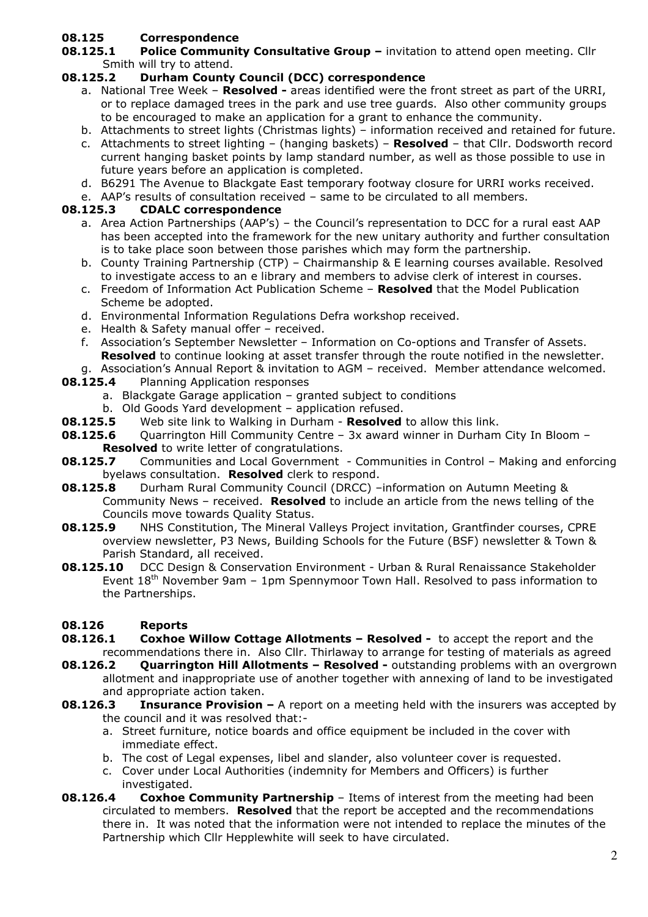# 08.125 Correspondence

08.125.1 Police Community Consultative Group - invitation to attend open meeting. Cllr Smith will try to attend.

## 08.125.2 Durham County Council (DCC) correspondence

- a. National Tree Week Resolved areas identified were the front street as part of the URRI, or to replace damaged trees in the park and use tree guards. Also other community groups to be encouraged to make an application for a grant to enhance the community.
- b. Attachments to street lights (Christmas lights) information received and retained for future.
- c. Attachments to street lighting (hanging baskets) **Resolved** that Cllr. Dodsworth record current hanging basket points by lamp standard number, as well as those possible to use in future years before an application is completed.
- d. B6291 The Avenue to Blackgate East temporary footway closure for URRI works received.
- e. AAP's results of consultation received same to be circulated to all members.

### 08.125.3 CDALC correspondence

- a. Area Action Partnerships (AAP's) the Council's representation to DCC for a rural east AAP has been accepted into the framework for the new unitary authority and further consultation is to take place soon between those parishes which may form the partnership.
- b. County Training Partnership (CTP) Chairmanship & E learning courses available. Resolved to investigate access to an e library and members to advise clerk of interest in courses.
- c. Freedom of Information Act Publication Scheme Resolved that the Model Publication Scheme be adopted.
- d. Environmental Information Regulations Defra workshop received.
- e. Health & Safety manual offer received.
- f. Association's September Newsletter Information on Co-options and Transfer of Assets. Resolved to continue looking at asset transfer through the route notified in the newsletter.
- g. Association's Annual Report & invitation to AGM received. Member attendance welcomed.
- **08.125.4** Planning Application responses
	- a. Blackgate Garage application granted subject to conditions
	- b. Old Goods Yard development application refused.
- **08.125.5** Web site link to Walking in Durham Resolved to allow this link.
- **08.125.6** Quarrington Hill Community Centre 3x award winner in Durham City In Bloom -**Resolved** to write letter of congratulations.
- **08.125.7** Communities and Local Government Communities in Control Making and enforcing byelaws consultation. Resolved clerk to respond.
- 08.125.8 Durham Rural Community Council (DRCC) –information on Autumn Meeting & Community News – received. Resolved to include an article from the news telling of the Councils move towards Quality Status.
- **08.125.9** NHS Constitution, The Mineral Valleys Project invitation, Grantfinder courses, CPRE overview newsletter, P3 News, Building Schools for the Future (BSF) newsletter & Town & Parish Standard, all received.
- 08.125.10 DCC Design & Conservation Environment Urban & Rural Renaissance Stakeholder Event  $18<sup>th</sup>$  November 9am – 1pm Spennymoor Town Hall. Resolved to pass information to the Partnerships.

### 08.126 Reports

- **08.126.1** Coxhoe Willow Cottage Allotments Resolved to accept the report and the recommendations there in. Also Cllr. Thirlaway to arrange for testing of materials as agreed
- **08.126.2** Quarrington Hill Allotments Resolved outstanding problems with an overgrown allotment and inappropriate use of another together with annexing of land to be investigated and appropriate action taken.
- **08.126.3** Insurance Provision  $-$  A report on a meeting held with the insurers was accepted by the council and it was resolved that:
	- a. Street furniture, notice boards and office equipment be included in the cover with immediate effect.
	- b. The cost of Legal expenses, libel and slander, also volunteer cover is requested.
	- c. Cover under Local Authorities (indemnity for Members and Officers) is further investigated.
- **08.126.4** Coxhoe Community Partnership Items of interest from the meeting had been circulated to members. Resolved that the report be accepted and the recommendations there in. It was noted that the information were not intended to replace the minutes of the Partnership which Cllr Hepplewhite will seek to have circulated.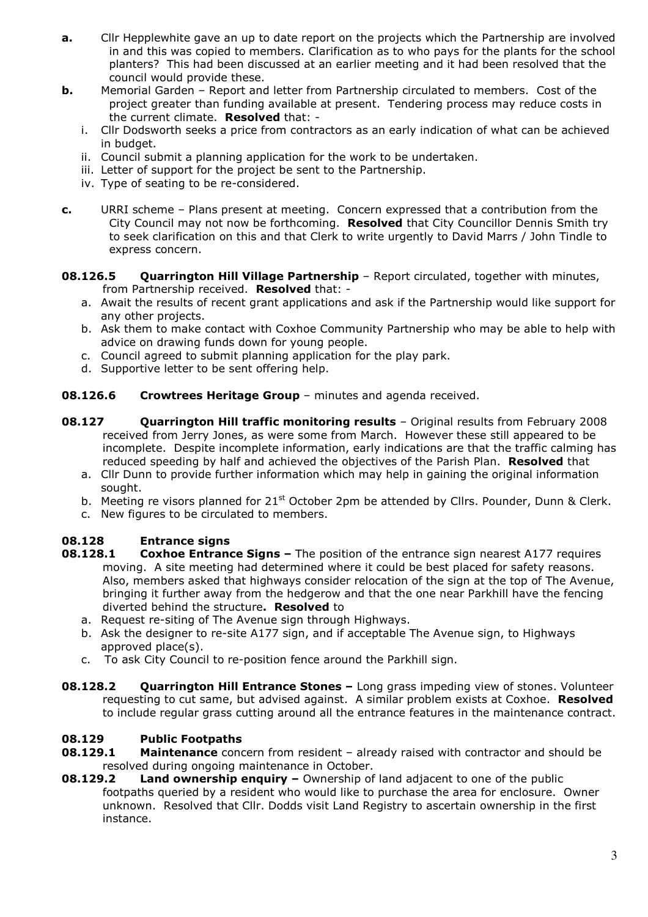- **a.** Cllr Hepplewhite gave an up to date report on the projects which the Partnership are involved in and this was copied to members. Clarification as to who pays for the plants for the school planters? This had been discussed at an earlier meeting and it had been resolved that the council would provide these.
- **b.** Memorial Garden Report and letter from Partnership circulated to members. Cost of the project greater than funding available at present. Tendering process may reduce costs in the current climate. Resolved that:
	- i. Cllr Dodsworth seeks a price from contractors as an early indication of what can be achieved in budget.
	- ii. Council submit a planning application for the work to be undertaken.
	- iii. Letter of support for the project be sent to the Partnership.
	- iv. Type of seating to be re-considered.
- c. URRI scheme Plans present at meeting. Concern expressed that a contribution from the City Council may not now be forthcoming. Resolved that City Councillor Dennis Smith try to seek clarification on this and that Clerk to write urgently to David Marrs / John Tindle to express concern.
- 08.126.5 Quarrington Hill Village Partnership Report circulated, together with minutes, from Partnership received. Resolved that:
	- a. Await the results of recent grant applications and ask if the Partnership would like support for any other projects.
	- b. Ask them to make contact with Coxhoe Community Partnership who may be able to help with advice on drawing funds down for young people.
	- c. Council agreed to submit planning application for the play park.
	- d. Supportive letter to be sent offering help.
- **08.126.6** Crowtrees Heritage Group minutes and agenda received.
- **08.127 Quarrington Hill traffic monitoring results** Original results from February 2008 received from Jerry Jones, as were some from March. However these still appeared to be incomplete. Despite incomplete information, early indications are that the traffic calming has reduced speeding by half and achieved the objectives of the Parish Plan. Resolved that
	- a. Cllr Dunn to provide further information which may help in gaining the original information sought.
	- b. Meeting re visors planned for  $21^{st}$  October 2pm be attended by Cllrs. Pounder, Dunn & Clerk.
	- c. New figures to be circulated to members.

### 08.128 Entrance signs

- **08.128.1** Coxhoe Entrance Signs The position of the entrance sign nearest A177 requires moving. A site meeting had determined where it could be best placed for safety reasons. Also, members asked that highways consider relocation of the sign at the top of The Avenue, bringing it further away from the hedgerow and that the one near Parkhill have the fencing diverted behind the structure. Resolved to
	- a. Request re-siting of The Avenue sign through Highways.
	- b. Ask the designer to re-site A177 sign, and if acceptable The Avenue sign, to Highways approved place(s).
	- c. To ask City Council to re-position fence around the Parkhill sign.
- **08.128.2** Quarrington Hill Entrance Stones Long grass impeding view of stones. Volunteer requesting to cut same, but advised against. A similar problem exists at Coxhoe. Resolved to include regular grass cutting around all the entrance features in the maintenance contract.

### 08.129 Public Footpaths

- **08.129.1** Maintenance concern from resident already raised with contractor and should be resolved during ongoing maintenance in October.
- **08.129.2** Land ownership enquiry Ownership of land adjacent to one of the public footpaths queried by a resident who would like to purchase the area for enclosure. Owner unknown. Resolved that Cllr. Dodds visit Land Registry to ascertain ownership in the first instance.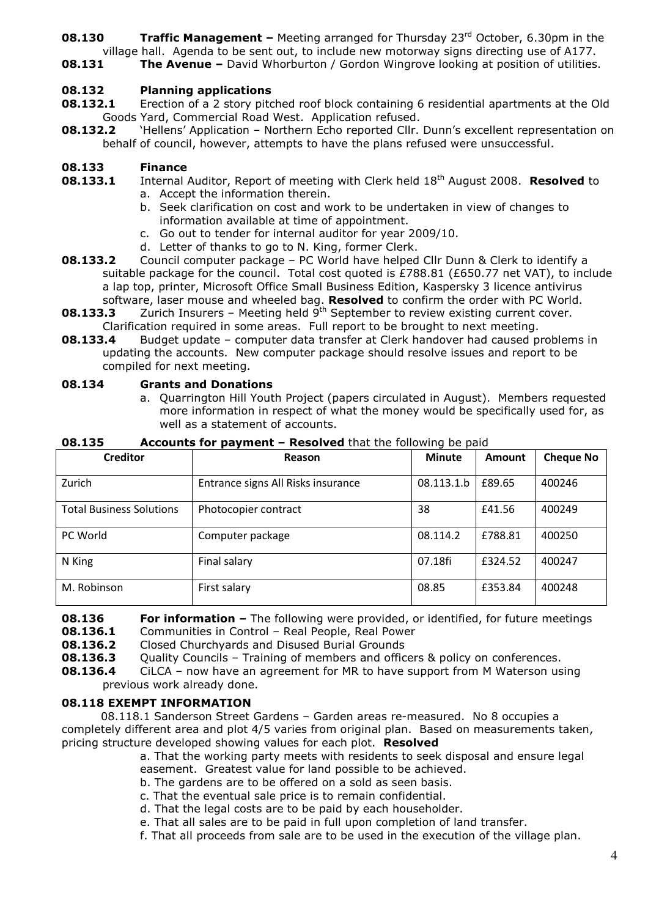- **08.130 Traffic Management –** Meeting arranged for Thursday 23<sup>rd</sup> October, 6.30pm in the village hall. Agenda to be sent out, to include new motorway signs directing use of A177.
- **08.131** The Avenue David Whorburton / Gordon Wingrove looking at position of utilities.

### 08.132 Planning applications

- **08.132.1** Erection of a 2 story pitched roof block containing 6 residential apartments at the Old Goods Yard, Commercial Road West. Application refused.
- **08.132.2** 'Hellens' Application Northern Echo reported Cllr. Dunn's excellent representation on behalf of council, however, attempts to have the plans refused were unsuccessful.

### 08.133 Finance

- 08.133.1 Internal Auditor, Report of meeting with Clerk held 18<sup>th</sup> August 2008. Resolved to
	- a. Accept the information therein.
	- b. Seek clarification on cost and work to be undertaken in view of changes to information available at time of appointment.
	- c. Go out to tender for internal auditor for year 2009/10.
	- d. Letter of thanks to go to N. King, former Clerk.
- **08.133.2** Council computer package PC World have helped Cllr Dunn & Clerk to identify a suitable package for the council. Total cost quoted is £788.81 (£650.77 net VAT), to include a lap top, printer, Microsoft Office Small Business Edition, Kaspersky 3 licence antivirus software, laser mouse and wheeled bag. Resolved to confirm the order with PC World.
- **08.133.3** Zurich Insurers Meeting held  $9<sup>th</sup>$  September to review existing current cover. Clarification required in some areas. Full report to be brought to next meeting.
- **08.133.4** Budget update computer data transfer at Clerk handover had caused problems in updating the accounts. New computer package should resolve issues and report to be compiled for next meeting.

#### 08.134 Grants and Donations

a. Quarrington Hill Youth Project (papers circulated in August). Members requested more information in respect of what the money would be specifically used for, as well as a statement of accounts.

| <b>Creditor</b>                 | Reason                             | <b>Minute</b> | Amount  | <b>Cheque No</b> |
|---------------------------------|------------------------------------|---------------|---------|------------------|
| Zurich                          | Entrance signs All Risks insurance | 08.113.1.b    | £89.65  | 400246           |
| <b>Total Business Solutions</b> | Photocopier contract               | 38            | £41.56  | 400249           |
| PC World                        | Computer package                   | 08.114.2      | £788.81 | 400250           |
| N King                          | Final salary                       | 07.18fi       | £324.52 | 400247           |
| M. Robinson                     | First salary                       | 08.85         | £353.84 | 400248           |

**08.135 Accounts for payment – Resolved** that the following be paid

**08.136** For information – The following were provided, or identified, for future meetings

08.136.1 Communities in Control – Real People, Real Power

**08.136.2** Closed Churchyards and Disused Burial Grounds

**08.136.3** Quality Councils - Training of members and officers & policy on conferences.

**08.136.4** CiLCA – now have an agreement for MR to have support from M Waterson using previous work already done.

### 08.118 EXEMPT INFORMATION

08.118.1 Sanderson Street Gardens – Garden areas re-measured. No 8 occupies a completely different area and plot 4/5 varies from original plan. Based on measurements taken, pricing structure developed showing values for each plot. Resolved

a. That the working party meets with residents to seek disposal and ensure legal easement. Greatest value for land possible to be achieved.

- b. The gardens are to be offered on a sold as seen basis.
- c. That the eventual sale price is to remain confidential.
- d. That the legal costs are to be paid by each householder.
- e. That all sales are to be paid in full upon completion of land transfer.
- f. That all proceeds from sale are to be used in the execution of the village plan.